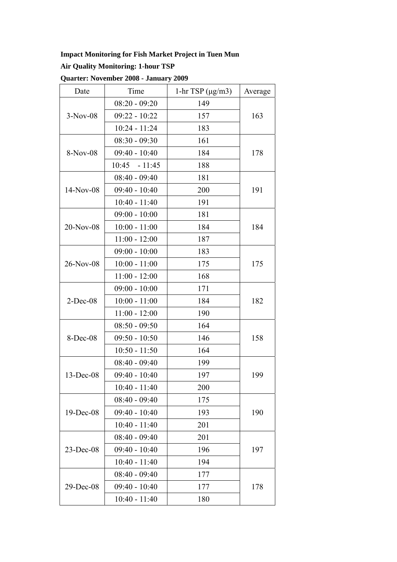# **Impact Monitoring for Fish Market Project in Tuen Mun**

# **Air Quality Monitoring: 1-hour TSP**

| Date        | Time            | $1-hr$ TSP ( $\mu$ g/m3) | Average |  |
|-------------|-----------------|--------------------------|---------|--|
| $3-Nov-08$  | $08:20 - 09:20$ | 149                      |         |  |
|             | $09:22 - 10:22$ | 157                      | 163     |  |
|             | 10:24 - 11:24   | 183                      |         |  |
| 8-Nov-08    | $08:30 - 09:30$ | 161                      | 178     |  |
|             | $09:40 - 10:40$ | 184                      |         |  |
|             | $10:45 - 11:45$ | 188                      |         |  |
|             | $08:40 - 09:40$ | 181                      | 191     |  |
| 14-Nov-08   | $09:40 - 10:40$ | 200                      |         |  |
|             | $10:40 - 11:40$ | 191                      |         |  |
|             | $09:00 - 10:00$ | 181                      | 184     |  |
| $20-Nov-08$ | $10:00 - 11:00$ | 184                      |         |  |
|             | $11:00 - 12:00$ | 187                      |         |  |
|             | $09:00 - 10:00$ | 183                      | 175     |  |
| 26-Nov-08   | $10:00 - 11:00$ | 175                      |         |  |
|             | $11:00 - 12:00$ | 168                      |         |  |
|             | $09:00 - 10:00$ | 171                      | 182     |  |
| $2$ -Dec-08 | $10:00 - 11:00$ | 184                      |         |  |
|             | $11:00 - 12:00$ | 190                      |         |  |
|             | $08:50 - 09:50$ | 164                      |         |  |
| 8-Dec-08    | $09:50 - 10:50$ | 146                      | 158     |  |
|             | $10:50 - 11:50$ | 164                      |         |  |
| 13-Dec-08   | $08:40 - 09:40$ | 199                      |         |  |
|             | $09:40 - 10:40$ | 197                      | 199     |  |
|             | $10:40 - 11:40$ | 200                      |         |  |
| 19-Dec-08   | $08:40 - 09:40$ | 175                      | 190     |  |
|             | $09:40 - 10:40$ | 193                      |         |  |
|             | $10:40 - 11:40$ | 201                      |         |  |
| 23-Dec-08   | $08:40 - 09:40$ | 201                      |         |  |
|             | $09:40 - 10:40$ | 196                      | 197     |  |
|             | $10:40 - 11:40$ | 194                      |         |  |
| 29-Dec-08   | $08:40 - 09:40$ | 177                      |         |  |
|             | $09:40 - 10:40$ | 177                      | 178     |  |
|             | $10:40 - 11:40$ | 180                      |         |  |

**Quarter: November 2008 - January 2009**